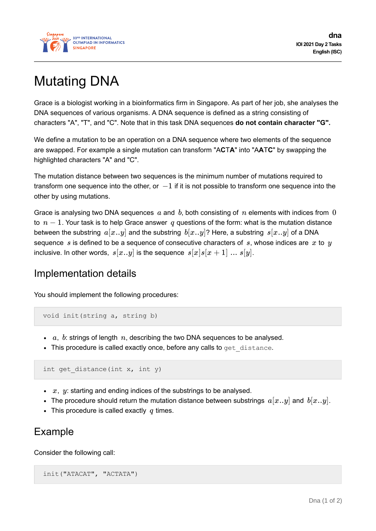

# Mutating DNA

Grace is a biologist working in a bioinformatics firm in Singapore. As part of her job, she analyses the DNA sequences of various organisms. A DNA sequence is defined as a string consisting of characters "A", "T", and "C". Note that in this task DNA sequences **do not contain character "G".**

We define a mutation to be an operation on a DNA sequence where two elements of the sequence are swapped. For example a single mutation can transform "A**C**T**A**" into "A**A**T**C**" by swapping the highlighted characters "A" and "C".

The mutation distance between two sequences is the minimum number of mutations required to transform one sequence into the other, or  $-1$  if it is not possible to transform one sequence into the other by using mutations.

Grace is analysing two DNA sequences *a* and *b*, both consisting of *n* elements with indices from 0 to *n* − 1. Your task is to help Grace answer *q* questions of the form: what is the mutation distance between the substring  $a[x..y]$  and the substring  $b[x..y]$ ? Here, a substring  $s[x..y]$  of a DNA sequence *s* is defined to be a sequence of consecutive characters of *s*, whose indices are *x* to *y* inclusive. In other words,  $s[x..y]$  is the sequence  $s[x]s[x+1] \ldots s[y]$ .

#### Implementation details

You should implement the following procedures:

```
void init(string a, string b)
```
- $a, b$ : strings of length  $n$ , describing the two DNA sequences to be analysed.
- This procedure is called exactly once, before any calls to get distance.

int get distance(int  $x$ , int y)

- *x*, *y*: starting and ending indices of the substrings to be analysed.
- The procedure should return the mutation distance between substrings  $a[x..y]$  and  $b[x..y]$ .
- This procedure is called exactly *q* times.

# Example

Consider the following call:

```
init("ATACAT", "ACTATA")
```